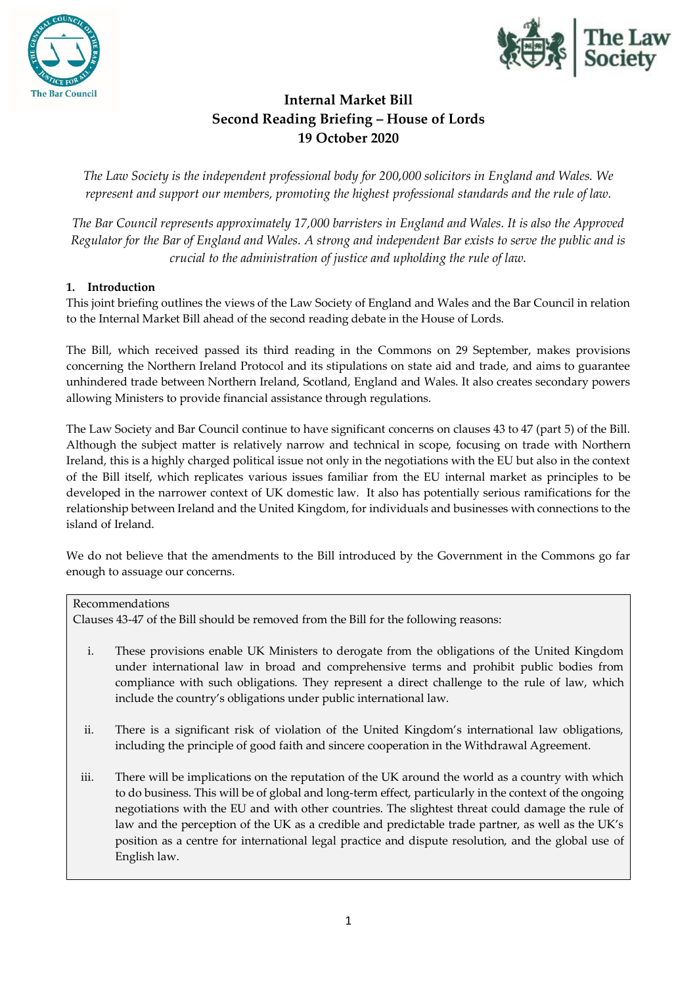



# **Internal Market Bill Second Reading Briefing – House of Lords 19 October 2020**

*The Law Society is the independent professional body for 200,000 solicitors in England and Wales. We represent and support our members, promoting the highest professional standards and the rule of law.*

*The Bar Council represents approximately 17,000 barristers in England and Wales. It is also the Approved Regulator for the Bar of England and Wales. A strong and independent Bar exists to serve the public and is crucial to the administration of justice and upholding the rule of law.*

### **1. Introduction**

This joint briefing outlines the views of the Law Society of England and Wales and the Bar Council in relation to the Internal Market Bill ahead of the second reading debate in the House of Lords.

The Bill, which received passed its third reading in the Commons on 29 September, makes provisions concerning the Northern Ireland Protocol and its stipulations on state aid and trade, and aims to guarantee unhindered trade between Northern Ireland, Scotland, England and Wales. It also creates secondary powers allowing Ministers to provide financial assistance through regulations.

The Law Society and Bar Council continue to have significant concerns on clauses 43 to 47 (part 5) of the Bill. Although the subject matter is relatively narrow and technical in scope, focusing on trade with Northern Ireland, this is a highly charged political issue not only in the negotiations with the EU but also in the context of the Bill itself, which replicates various issues familiar from the EU internal market as principles to be developed in the narrower context of UK domestic law. It also has potentially serious ramifications for the relationship between Ireland and the United Kingdom, for individuals and businesses with connections to the island of Ireland.

We do not believe that the amendments to the Bill introduced by the Government in the Commons go far enough to assuage our concerns.

Recommendations

Clauses 43-47 of the Bill should be removed from the Bill for the following reasons:

- i. These provisions enable UK Ministers to derogate from the obligations of the United Kingdom under international law in broad and comprehensive terms and prohibit public bodies from compliance with such obligations. They represent a direct challenge to the rule of law, which include the country's obligations under public international law.
- ii. There is a significant risk of violation of the United Kingdom's international law obligations, including the principle of good faith and sincere cooperation in the Withdrawal Agreement.
- iii. There will be implications on the reputation of the UK around the world as a country with which to do business. This will be of global and long-term effect, particularly in the context of the ongoing negotiations with the EU and with other countries. The slightest threat could damage the rule of law and the perception of the UK as a credible and predictable trade partner, as well as the UK's position as a centre for international legal practice and dispute resolution, and the global use of English law.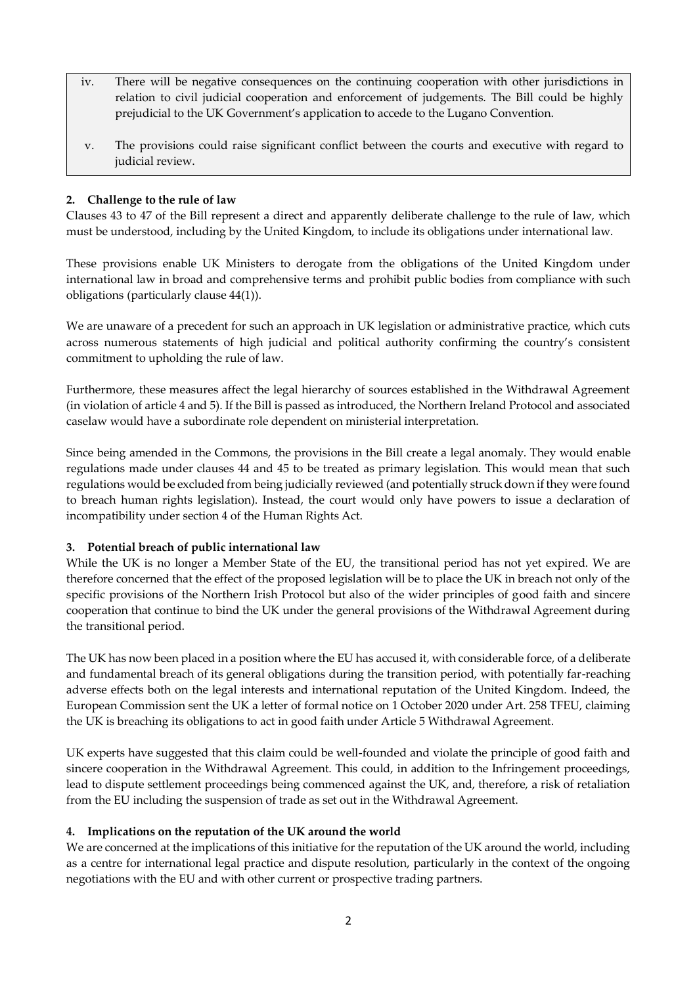- iv. There will be negative consequences on the continuing cooperation with other jurisdictions in relation to civil judicial cooperation and enforcement of judgements. The Bill could be highly prejudicial to the UK Government's application to accede to the Lugano Convention.
- v. The provisions could raise significant conflict between the courts and executive with regard to judicial review.

#### **2. Challenge to the rule of law**

Clauses 43 to 47 of the Bill represent a direct and apparently deliberate challenge to the rule of law, which must be understood, including by the United Kingdom, to include its obligations under international law.

These provisions enable UK Ministers to derogate from the obligations of the United Kingdom under international law in broad and comprehensive terms and prohibit public bodies from compliance with such obligations (particularly clause 44(1)).

We are unaware of a precedent for such an approach in UK legislation or administrative practice, which cuts across numerous statements of high judicial and political authority confirming the country's consistent commitment to upholding the rule of law.

Furthermore, these measures affect the legal hierarchy of sources established in the Withdrawal Agreement (in violation of article 4 and 5). If the Bill is passed as introduced, the Northern Ireland Protocol and associated caselaw would have a subordinate role dependent on ministerial interpretation.

Since being amended in the Commons, the provisions in the Bill create a legal anomaly. They would enable regulations made under clauses 44 and 45 to be treated as primary legislation. This would mean that such regulations would be excluded from being judicially reviewed (and potentially struck down if they were found to breach human rights legislation). Instead, the court would only have powers to issue a declaration of incompatibility under section 4 of the Human Rights Act.

#### **3. Potential breach of public international law**

While the UK is no longer a Member State of the EU, the transitional period has not yet expired. We are therefore concerned that the effect of the proposed legislation will be to place the UK in breach not only of the specific provisions of the Northern Irish Protocol but also of the wider principles of good faith and sincere cooperation that continue to bind the UK under the general provisions of the Withdrawal Agreement during the transitional period.

The UK has now been placed in a position where the EU has accused it, with considerable force, of a deliberate and fundamental breach of its general obligations during the transition period, with potentially far-reaching adverse effects both on the legal interests and international reputation of the United Kingdom. Indeed, the European Commission sent the UK a letter of formal notice on 1 October 2020 under Art. 258 TFEU, claiming the UK is breaching its obligations to act in good faith under Article 5 Withdrawal Agreement.

UK experts have suggested that this claim could be well-founded and violate the principle of good faith and sincere cooperation in the Withdrawal Agreement. This could, in addition to the Infringement proceedings, lead to dispute settlement proceedings being commenced against the UK, and, therefore, a risk of retaliation from the EU including the suspension of trade as set out in the Withdrawal Agreement.

### **4. Implications on the reputation of the UK around the world**

We are concerned at the implications of this initiative for the reputation of the UK around the world, including as a centre for international legal practice and dispute resolution, particularly in the context of the ongoing negotiations with the EU and with other current or prospective trading partners.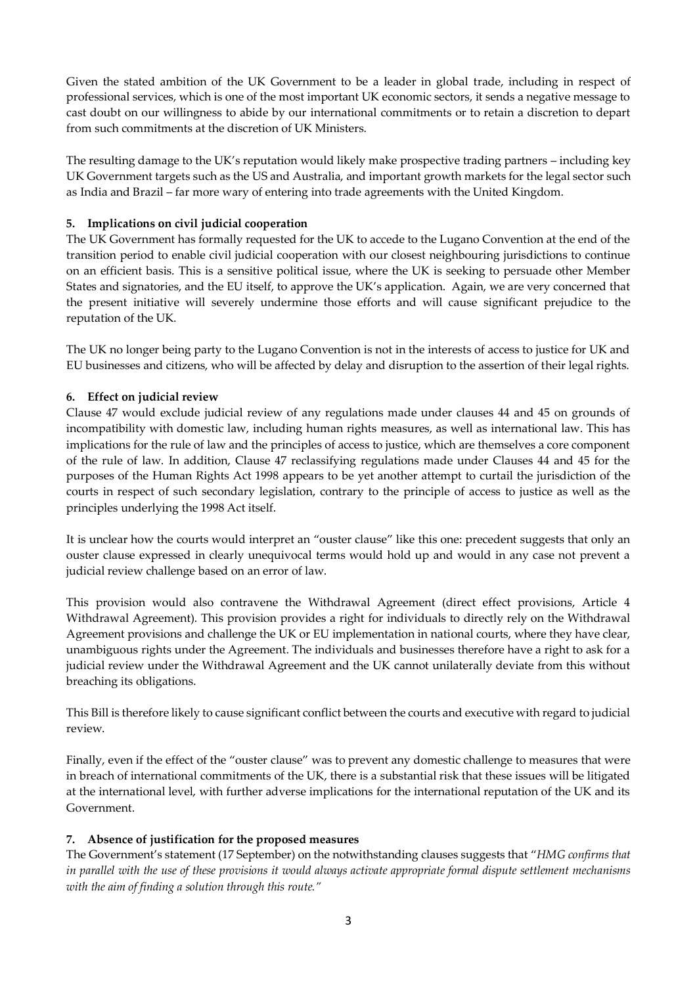Given the stated ambition of the UK Government to be a leader in global trade, including in respect of professional services, which is one of the most important UK economic sectors, it sends a negative message to cast doubt on our willingness to abide by our international commitments or to retain a discretion to depart from such commitments at the discretion of UK Ministers.

The resulting damage to the UK's reputation would likely make prospective trading partners – including key UK Government targets such as the US and Australia, and important growth markets for the legal sector such as India and Brazil – far more wary of entering into trade agreements with the United Kingdom.

### **5. Implications on civil judicial cooperation**

The UK Government has formally requested for the UK to accede to the Lugano Convention at the end of the transition period to enable civil judicial cooperation with our closest neighbouring jurisdictions to continue on an efficient basis. This is a sensitive political issue, where the UK is seeking to persuade other Member States and signatories, and the EU itself, to approve the UK's application. Again, we are very concerned that the present initiative will severely undermine those efforts and will cause significant prejudice to the reputation of the UK.

The UK no longer being party to the Lugano Convention is not in the interests of access to justice for UK and EU businesses and citizens, who will be affected by delay and disruption to the assertion of their legal rights.

## **6. Effect on judicial review**

Clause 47 would exclude judicial review of any regulations made under clauses 44 and 45 on grounds of incompatibility with domestic law, including human rights measures, as well as international law. This has implications for the rule of law and the principles of access to justice, which are themselves a core component of the rule of law. In addition, Clause 47 reclassifying regulations made under Clauses 44 and 45 for the purposes of the Human Rights Act 1998 appears to be yet another attempt to curtail the jurisdiction of the courts in respect of such secondary legislation, contrary to the principle of access to justice as well as the principles underlying the 1998 Act itself.

It is unclear how the courts would interpret an "ouster clause" like this one: precedent suggests that only an ouster clause expressed in clearly unequivocal terms would hold up and would in any case not prevent a judicial review challenge based on an error of law.

This provision would also contravene the Withdrawal Agreement (direct effect provisions, Article 4 Withdrawal Agreement). This provision provides a right for individuals to directly rely on the Withdrawal Agreement provisions and challenge the UK or EU implementation in national courts, where they have clear, unambiguous rights under the Agreement. The individuals and businesses therefore have a right to ask for a judicial review under the Withdrawal Agreement and the UK cannot unilaterally deviate from this without breaching its obligations.

This Bill is therefore likely to cause significant conflict between the courts and executive with regard to judicial review.

Finally, even if the effect of the "ouster clause" was to prevent any domestic challenge to measures that were in breach of international commitments of the UK, there is a substantial risk that these issues will be litigated at the international level, with further adverse implications for the international reputation of the UK and its Government.

### **7. Absence of justification for the proposed measures**

The Government's statement (17 September) on the notwithstanding clauses suggests that "*HMG confirms that in parallel with the use of these provisions it would always activate appropriate formal dispute settlement mechanisms with the aim of finding a solution through this route."*